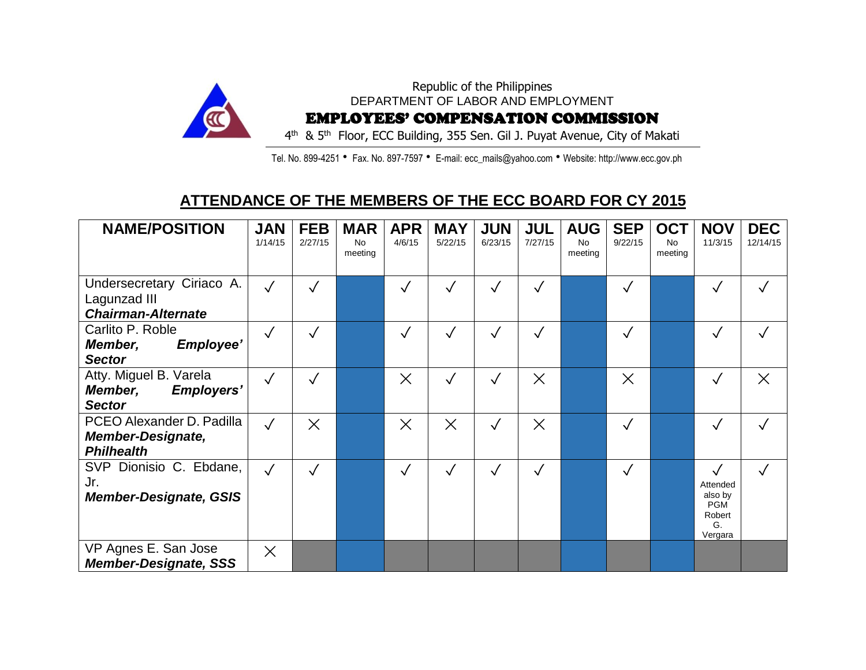

Tel. No. 899-4251 • Fax. No. 897-7597 • E-mail: ecc\_mails@yahoo.com • Website: http://www.ecc.gov.ph

## **ATTENDANCE OF THE MEMBERS OF THE ECC BOARD FOR CY 2015**

| <b>NAME/POSITION</b>                                                       | <b>JAN</b><br>1/14/15 | <b>FEB</b><br>2/27/15 | <b>MAR</b><br><b>No</b><br>meeting | <b>APR</b><br>4/6/15 | <b>MAY</b><br>5/22/15 | <b>JUN</b><br>6/23/15 | <b>JUL</b><br>7/27/15 | <b>AUG</b><br><b>No</b><br>meeting | <b>SEP</b><br>9/22/15 | <b>OCT</b><br><b>No</b><br>meeting | <b>NOV</b><br>11/3/15                                        | <b>DEC</b><br>12/14/15 |
|----------------------------------------------------------------------------|-----------------------|-----------------------|------------------------------------|----------------------|-----------------------|-----------------------|-----------------------|------------------------------------|-----------------------|------------------------------------|--------------------------------------------------------------|------------------------|
| Undersecretary Ciriaco A.<br>Lagunzad III<br><b>Chairman-Alternate</b>     | $\checkmark$          | $\checkmark$          |                                    | $\checkmark$         |                       | $\checkmark$          |                       |                                    | $\checkmark$          |                                    |                                                              |                        |
| Carlito P. Roble<br>Employee'<br>Member,<br><b>Sector</b>                  | $\sqrt{}$             | $\checkmark$          |                                    | $\checkmark$         | $\sqrt{}$             | $\sqrt{}$             | $\checkmark$          |                                    | $\checkmark$          |                                    |                                                              |                        |
| Atty. Miguel B. Varela<br><b>Employers'</b><br>Member,<br><b>Sector</b>    | $\sqrt{}$             | $\sqrt{}$             |                                    | $\times$             | $\sqrt{}$             | $\checkmark$          | $\times$              |                                    | $\times$              |                                    | $\checkmark$                                                 | $\times$               |
| PCEO Alexander D. Padilla<br><b>Member-Designate,</b><br><b>Philhealth</b> | $\checkmark$          | $\times$              |                                    | $\times$             | $\times$              | $\sqrt{}$             | $\times$              |                                    | $\checkmark$          |                                    |                                                              |                        |
| SVP Dionisio C. Ebdane,<br>Jr.<br><b>Member-Designate, GSIS</b>            | $\checkmark$          | $\checkmark$          |                                    | $\checkmark$         |                       | $\checkmark$          |                       |                                    | $\checkmark$          |                                    | Attended<br>also by<br><b>PGM</b><br>Robert<br>G.<br>Vergara |                        |
| VP Agnes E. San Jose<br><b>Member-Designate, SSS</b>                       | $\times$              |                       |                                    |                      |                       |                       |                       |                                    |                       |                                    |                                                              |                        |